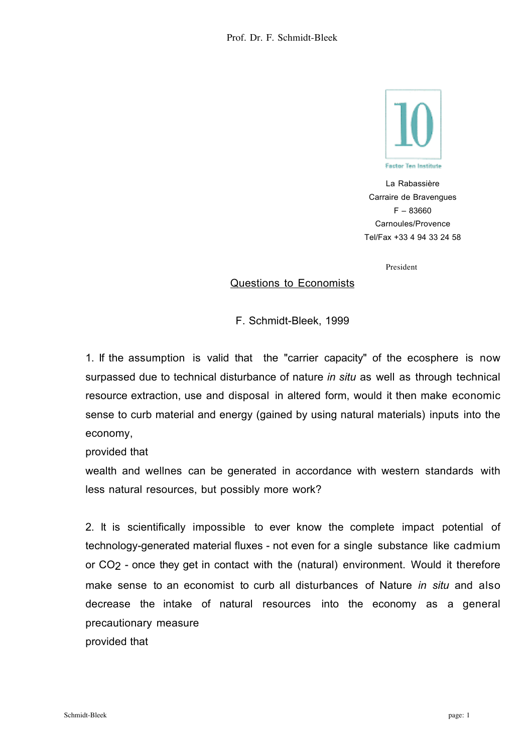

La Rabassière Carraire de Bravengues F – 83660 Carnoules/Provence Tel/Fax +33 4 94 33 24 58

President

## Questions to Economists

F. Schmidt-Bleek, 1999

1. If the assumption is valid that the "carrier capacity" of the ecosphere is now surpassed due to technical disturbance of nature *in situ* as well as through technical resource extraction, use and disposal in altered form, would it then make economic sense to curb material and energy (gained by using natural materials) inputs into the economy,

provided that

wealth and wellnes can be generated in accordance with western standards with less natural resources, but possibly more work?

2. It is scientifically impossible to ever know the complete impact potential of technology-generated material fluxes - not even for a single substance like cadmium or CO2 - once they get in contact with the (natural) environment. Would it therefore make sense to an economist to curb all disturbances of Nature *in situ* and also decrease the intake of natural resources into the economy as a general precautionary measure provided that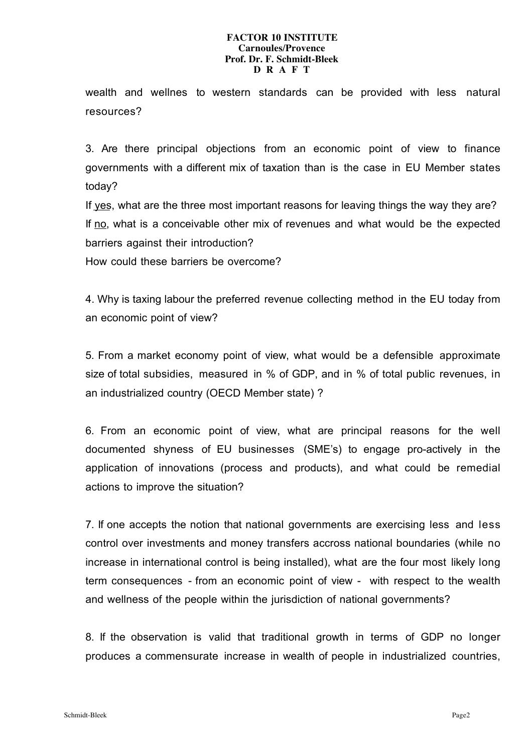## **FACTOR 10 INSTITUTE Carnoules/Provence Prof. Dr. F. Schmidt-Bleek D R A F T**

wealth and wellnes to western standards can be provided with less natural resources?

3. Are there principal objections from an economic point of view to finance governments with a different mix of taxation than is the case in EU Member states today?

If yes, what are the three most important reasons for leaving things the way they are? If no, what is a conceivable other mix of revenues and what would be the expected barriers against their introduction?

How could these barriers be overcome?

4. Why is taxing labour the preferred revenue collecting method in the EU today from an economic point of view?

5. From a market economy point of view, what would be a defensible approximate size of total subsidies, measured in % of GDP, and in % of total public revenues, in an industrialized country (OECD Member state) ?

6. From an economic point of view, what are principal reasons for the well documented shyness of EU businesses (SME's) to engage pro-actively in the application of innovations (process and products), and what could be remedial actions to improve the situation?

7. If one accepts the notion that national governments are exercising less and less control over investments and money transfers accross national boundaries (while no increase in international control is being installed), what are the four most likely long term consequences - from an economic point of view - with respect to the wealth and wellness of the people within the jurisdiction of national governments?

8. If the observation is valid that traditional growth in terms of GDP no longer produces a commensurate increase in wealth of people in industrialized countries,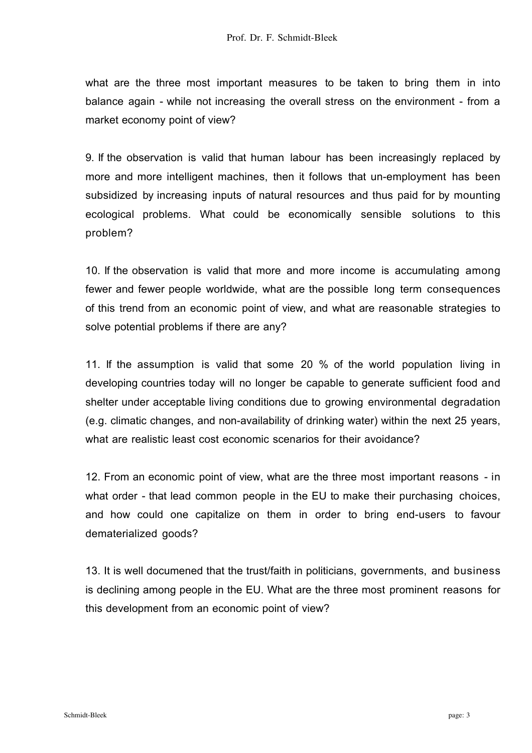what are the three most important measures to be taken to bring them in into balance again - while not increasing the overall stress on the environment - from a market economy point of view?

9. If the observation is valid that human labour has been increasingly replaced by more and more intelligent machines, then it follows that un-employment has been subsidized by increasing inputs of natural resources and thus paid for by mounting ecological problems. What could be economically sensible solutions to this problem?

10. If the observation is valid that more and more income is accumulating among fewer and fewer people worldwide, what are the possible long term consequences of this trend from an economic point of view, and what are reasonable strategies to solve potential problems if there are any?

11. If the assumption is valid that some 20 % of the world population living in developing countries today will no longer be capable to generate sufficient food and shelter under acceptable living conditions due to growing environmental degradation (e.g. climatic changes, and non-availability of drinking water) within the next 25 years, what are realistic least cost economic scenarios for their avoidance?

12. From an economic point of view, what are the three most important reasons - in what order - that lead common people in the EU to make their purchasing choices, and how could one capitalize on them in order to bring end-users to favour dematerialized goods?

13. It is well documened that the trust/faith in politicians, governments, and business is declining among people in the EU. What are the three most prominent reasons for this development from an economic point of view?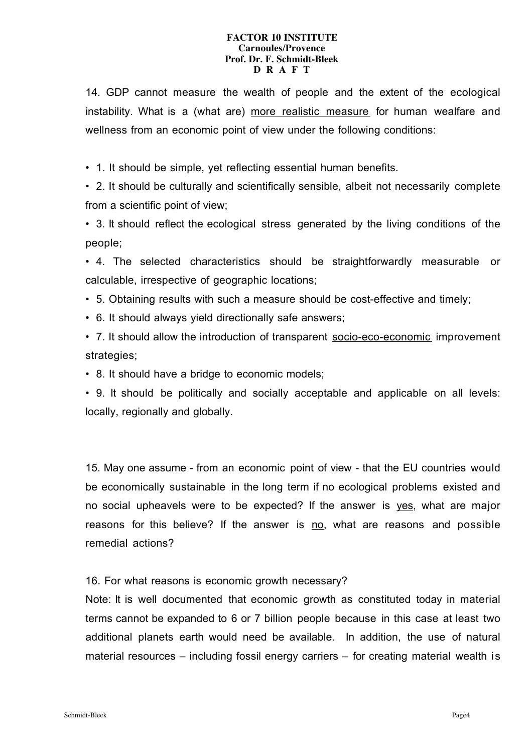## **FACTOR 10 INSTITUTE Carnoules/Provence Prof. Dr. F. Schmidt-Bleek D R A F T**

14. GDP cannot measure the wealth of people and the extent of the ecological instability. What is a (what are) more realistic measure for human wealfare and wellness from an economic point of view under the following conditions:

• 1. It should be simple, yet reflecting essential human benefits.

• 2. It should be culturally and scientifically sensible, albeit not necessarily complete from a scientific point of view;

• 3. It should reflect the ecological stress generated by the living conditions of the people;

• 4. The selected characteristics should be straightforwardly measurable or calculable, irrespective of geographic locations;

• 5. Obtaining results with such a measure should be cost-effective and timely;

• 6. It should always yield directionally safe answers;

• 7. It should allow the introduction of transparent socio-eco-economic improvement strategies;

• 8. It should have a bridge to economic models;

• 9. It should be politically and socially acceptable and applicable on all levels: locally, regionally and globally.

15. May one assume - from an economic point of view - that the EU countries would be economically sustainable in the long term if no ecological problems existed and no social upheavels were to be expected? If the answer is yes, what are major reasons for this believe? If the answer is no, what are reasons and possible remedial actions?

16. For what reasons is economic growth necessary?

Note: It is well documented that economic growth as constituted today in material terms cannot be expanded to 6 or 7 billion people because in this case at least two additional planets earth would need be available. In addition, the use of natural material resources – including fossil energy carriers – for creating material wealth is